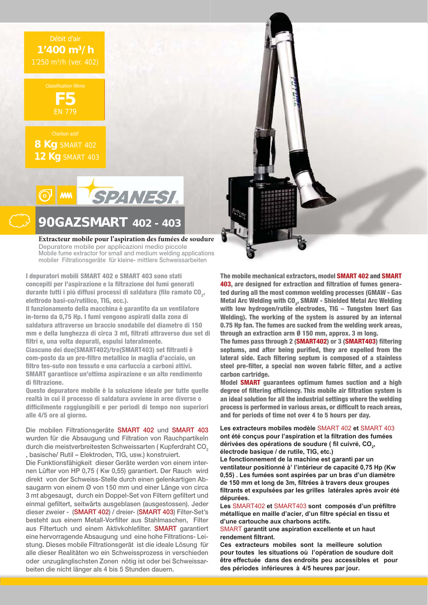## Débit d'air **1'400 m3/h**



**8 Kg** SMART 402 **12 Kg** SMART 403



## **\*\$=SMART 402 - 403**

Extracteur mobile pour l'aspiration des fumées de soudure **Depuratore mobile per applicazioni medio piccole Mobile fume extractor for small and medium welding applications mobiler Filtrationsgeräte für kleine- mittlere Schweissarbeiten**

**I depuratori mobili SMART 402 e SMART 403 sono stati concepiti per l'aspirazione e la filtrazione dei fumi generati**  durante tutti i più diffusi processi di saldatura (filo ramato CO<sub>2</sub>, **elettrodo basi-co/rutilico, TIG, ecc.).** 

**Il funzionamento della macchina è garantito da un ventilatore in-terno da 0,75 Hp. I fumi vengono aspirati dalla zona di saldatura attraverso un braccio snodabile del diametro di 150 mm e della lunghezza di circa 3 mt, filtrati attraverso due set di filtri e, una volta depurati, espulsi lateralmente.** 

**Ciascuno dei due(SMART402)/tre(SMART403) set filtranti è com-posto da un pre-filtro metallico in maglia d'acciaio, un filtro tes-suto non tessuto e una cartuccia a carboni attivi. SMART garantisce un'ottima aspirazione e un alto rendimento di filtrazione.**

**Questo depuratore mobile è la soluzione ideale per tutte quelle realtà in cui il processo di saldatura avviene in aree diverse o difficilmente raggiungibili e per periodi di tempo non superiori alle 4/5 ore al giorno.**

**Die mobilen Filtrationsgeräte SMART 402 und SMART 403 wurden für die Absaugung und Filtration von Rauchpartikeln durch die meistverbreitesten Schweissarten ( Kupferdraht CO2 , basische/ Rutil – Elektroden, TIG, usw.) konstruiert.**

**Die Funktionsfähigkeit dieser Geräte werden von einem internen Lüfter von HP 0,75 ( Kw 0,55) garantiert. Der Rauch wird direkt von der Schweiss-Stelle durch einen gelenkartigen Absaugarm von einem Ø von 150 mm und einer Länge von circa 3 mt abgesaugt, durch ein Doppel-Set von Filtern gefiltert und einmal gefiltert, seitwärts ausgeblasen (ausgestossen). Jeder dieser zweier - (SMART 402) / dreier- (SMART 403) Filter-Set's besteht aus einem Metall-Vorfilter aus Stahlmaschen, Filter aus Filtertuch und einem Aktivkohlefilter. SMART garantiert eine hervorragende Absaugung und eine hohe Filtrations- Leistung. Dieses mobile Filtrationsgerät ist die ideale Lösung für alle dieser Realitäten wo ein Schweissprozess in verschieden oder unzugänglischsten Zonen nötig ist oder bei Schweissarbeiten die nicht länger als 4 bis 5 Stunden dauern.**



**The mobile mechanical extractors, model SMART 402 and SMART 403, are designed for extraction and filtration of fumes generated during all the most common welding processes (GMAW - Gas Metal Arc Welding with CO<sub>2</sub>, SMAW - Shielded Metal Arc Welding with low hydrogen/rutile electrodes, TIG – Tungsten Inert Gas Welding). The working of the system is assured by an internal 0.75 Hp fan. The fumes are sucked from the welding work areas, through an extraction arm Ø 150 mm, approx. 3 m long.** 

**The fumes pass through 2 (SMART402) or 3 (SMART403) filtering septums, and after being purified, they are expelled from the lateral side. Each filtering septum is composed of a stainless steel pre-filter, a special non woven fabric filter, and a active carbon cartridge.** 

**Model SMART guarantees optimum fumes suction and a high degree of filtering efficiency. This mobile air filtration system is an ideal solution for all the industrial settings where the welding process is performed in various areas, or difficult to reach areas, and for periods of time not over 4 to 5 hours per day.** 

**Les extracteurs mobiles modèle SMART 402 et SMART 403** ont été concus pour l'aspiration et la filtration des fumées dérivées des opérations de soudure ( fil cuivré, CO<sub>2</sub>, électrode basique / de rutile, TIG, etc.)

Le fonctionnement de la machine est garanti par un ventilateur positionné à' l'intérieur de capacité 0,75 Hp (Kw 0,55). Les fumées sont aspirées par un bras d'un diamètre de 150 mm et long de 3m, filtrées à travers deux groupes filtrants et expulsées par les grilles latérales après avoir été dépurées.

Les SMART402 et SMART403 sont composés d'un préfiltre métallique en maille d'acier, d'un filtre spécial en tissu et d'une cartouche aux charbons actifs.

**SMART** garantit une aspiration excellente et un haut rendement filtrant.

**Ces extracteurs mobiles sont la meilleure solution** pour toutes les situations où l'opération de soudure doit être effectuée dans des endroits peu accessibles et pour des périodes inférieures à 4/5 heures par jour.